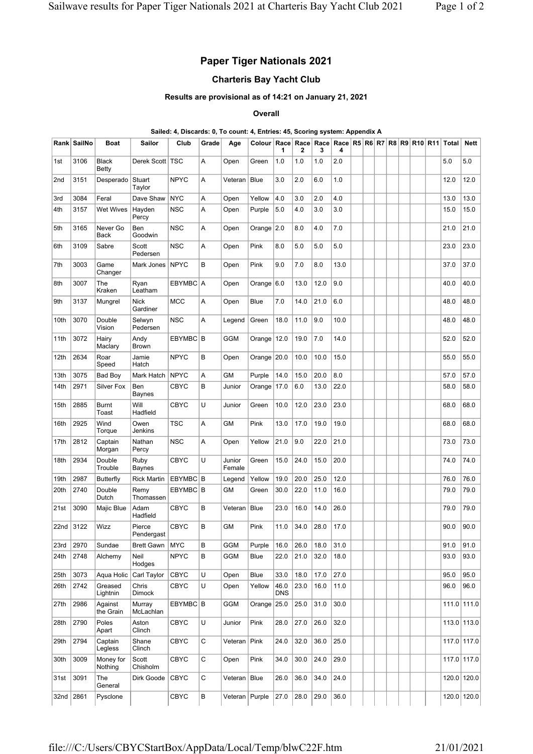# Paper Tiger Nationals 2021

## Charteris Bay Yacht Club

#### Results are provisional as of 14:21 on January 21, 2021

#### **Overall**

### Sailed: 4, Discards: 0, To count: 4, Entries: 45, Scoring system: Appendix A

|      | Rank SailNo | <b>Boat</b>             | Sailor                  | Club        | Grade  | Age              | Colour   Race   Race   Race   Race   R5   R6   R7   R8   R9   R10   R11   Total | 1                  | 2    | 3    | 4    |  |  |  |      | Nett          |
|------|-------------|-------------------------|-------------------------|-------------|--------|------------------|---------------------------------------------------------------------------------|--------------------|------|------|------|--|--|--|------|---------------|
| 1st  | 3106        | <b>Black</b><br>Betty   | Derek Scott   TSC       |             | A      | Open             | Green                                                                           | 1.0                | 1.0  | 1.0  | 2.0  |  |  |  | 5.0  | 5.0           |
| 2nd  | 3151        | Desperado               | Stuart<br>Taylor        | <b>NPYC</b> | A      | Veteran          | <b>Blue</b>                                                                     | 3.0                | 2.0  | 6.0  | 1.0  |  |  |  | 12.0 | 12.0          |
| 3rd  | 3084        | Feral                   | Dave Shaw               | <b>NYC</b>  | A      | Open             | Yellow                                                                          | 4.0                | 3.0  | 2.0  | 4.0  |  |  |  | 13.0 | 13.0          |
| 4th  | 3157        | <b>Wet Wives</b>        | Hayden<br>Percy         | <b>NSC</b>  | Α      | Open             | Purple                                                                          | 5.0                | 4.0  | 3.0  | 3.0  |  |  |  | 15.0 | 15.0          |
| 5th  | 3165        | Never Go<br><b>Back</b> | Ben<br>Goodwin          | <b>NSC</b>  | Α      | Open             | Orange $ 2.0$                                                                   |                    | 8.0  | 4.0  | 7.0  |  |  |  | 21.0 | 21.0          |
| 6th  | 3109        | Sabre                   | Scott<br>Pedersen       | <b>NSC</b>  | Α      | Open             | Pink                                                                            | 8.0                | 5.0  | 5.0  | 5.0  |  |  |  | 23.0 | 23.0          |
| 7th  | 3003        | Game<br>Changer         | Mark Jones              | <b>NPYC</b> | В      | Open             | Pink                                                                            | 9.0                | 7.0  | 8.0  | 13.0 |  |  |  | 37.0 | 37.0          |
| 8th  | 3007        | The<br>Kraken           | Ryan<br>Leatham         | EBYMBC A    |        | Open             | Orange $ 6.0$                                                                   |                    | 13.0 | 12.0 | 9.0  |  |  |  | 40.0 | 40.0          |
| 9th  | 3137        | Mungrel                 | <b>Nick</b><br>Gardiner | <b>MCC</b>  | Α      | Open             | Blue                                                                            | 7.0                | 14.0 | 21.0 | 6.0  |  |  |  | 48.0 | 48.0          |
| 10th | 3070        | Double<br>Vision        | Selwyn<br>Pedersen      | <b>NSC</b>  | Α      | Legend           | Green                                                                           | 18.0               | 11.0 | 9.0  | 10.0 |  |  |  | 48.0 | 48.0          |
| 11th | 3072        | Hairy<br>Maclary        | Andy<br>Brown           | EBYMBC B    |        | <b>GGM</b>       | Orange   12.0                                                                   |                    | 19.0 | 7.0  | 14.0 |  |  |  | 52.0 | 52.0          |
| 12th | 2634        | Roar<br>Speed           | Jamie<br>Hatch          | <b>NPYC</b> | B      | Open             | Orange 20.0                                                                     |                    | 10.0 | 10.0 | 15.0 |  |  |  | 55.0 | 55.0          |
| 13th | 3075        | Bad Boy                 | Mark Hatch              | <b>NPYC</b> | Α      | GМ               | Purple                                                                          | 14.0               | 15.0 | 20.0 | 8.0  |  |  |  | 57.0 | 57.0          |
| 14th | 2971        | Silver Fox              | Ben<br><b>Baynes</b>    | <b>CBYC</b> | B      | Junior           | Orange   17.0                                                                   |                    | 6.0  | 13.0 | 22.0 |  |  |  | 58.0 | 58.0          |
| 15th | 2885        | <b>Burnt</b><br>Toast   | Will<br>Hadfield        | CBYC        | U      | Junior           | Green                                                                           | 10.0               | 12.0 | 23.0 | 23.0 |  |  |  | 68.0 | 68.0          |
| 16th | 2925        | Wind<br>Torque          | Owen<br>Jenkins         | TSC         | Α      | <b>GM</b>        | Pink                                                                            | 13.0               | 17.0 | 19.0 | 19.0 |  |  |  | 68.0 | 68.0          |
| 17th | 2812        | Captain<br>Morgan       | Nathan<br>Percy         | <b>NSC</b>  | Α      | Open             | Yellow                                                                          | 21.0               | 9.0  | 22.0 | 21.0 |  |  |  | 73.0 | 73.0          |
| 18th | 2934        | Double<br>Trouble       | Ruby<br><b>Baynes</b>   | <b>CBYC</b> | U      | Junior<br>Female | Green                                                                           | 15.0               | 24.0 | 15.0 | 20.0 |  |  |  | 74.0 | 74.0          |
| 19th | 2987        | <b>Butterfly</b>        | <b>Rick Martin</b>      | EBYMBC B    |        | Legend           | Yellow                                                                          | 19.0               | 20.0 | 25.0 | 12.0 |  |  |  | 76.0 | 76.0          |
| 20th | 2740        | Double<br>Dutch         | Remy<br>Thomassen       | EBYMBC B    |        | GM               | Green                                                                           | 30.0               | 22.0 | 11.0 | 16.0 |  |  |  | 79.0 | 79.0          |
| 21st | 3090        | Majic Blue              | Adam<br>Hadfield        | <b>CBYC</b> | B      | Veteran          | <b>Blue</b>                                                                     | 23.0               | 16.0 | 14.0 | 26.0 |  |  |  | 79.0 | 79.0          |
| 22nd | 3122        | <b>Wizz</b>             | Pierce<br>Pendergast    | <b>CBYC</b> | B      | <b>GM</b>        | Pink                                                                            | 11.0               | 34.0 | 28.0 | 17.0 |  |  |  | 90.0 | 90.0          |
| 23rd | 2970        | Sundae                  | Brett Gawn              | <b>MYC</b>  | В      | GGM              | Purple                                                                          | 16.0               | 26.0 | 18.0 | 31.0 |  |  |  | 91.0 | 91.0          |
| 24th | 2748        | Alchemy                 | Neil<br>Hodges          | <b>NPYC</b> | B      | <b>GGM</b>       | Blue                                                                            | 22.0               | 21.0 | 32.0 | 18.0 |  |  |  | 93.0 | 93.0          |
| 25th | 3073        | Aqua Holic              | Carl Taylor             | <b>CBYC</b> | U      | Open             | Blue                                                                            | 33.0               | 18.0 | 17.0 | 27.0 |  |  |  | 95.0 | 95.0          |
| 26th | 2742        | Greased<br>Lightnin     | Chris<br><b>Dimock</b>  | <b>CBYC</b> | U      | Open             | Yellow                                                                          | 46.0<br><b>DNS</b> | 23.0 | 16.0 | 11.0 |  |  |  | 96.0 | 96.0          |
| 27th | 2986        | Against<br>the Grain    | Murray<br>McLachlan     | EBYMBC B    |        | <b>GGM</b>       | Orange $25.0$                                                                   |                    | 25.0 | 31.0 | 30.0 |  |  |  |      | $111.0$ 111.0 |
| 28th | 2790        | Poles<br>Apart          | Aston<br>Clinch         | CBYC        | $\cup$ | Junior           | Pink                                                                            | 28.0               | 27.0 | 26.0 | 32.0 |  |  |  |      | $113.0$ 113.0 |
| 29th | 2794        | Captain<br>Legless      | Shane<br>Clinch         | <b>CBYC</b> | С      | Veteran          | Pink                                                                            | 24.0               | 32.0 | 36.0 | 25.0 |  |  |  |      | 117.0 117.0   |
| 30th | 3009        | Money for<br>Nothing    | Scott<br>Chisholm       | <b>CBYC</b> | C      | Open             | Pink                                                                            | 34.0               | 30.0 | 24.0 | 29.0 |  |  |  |      | 117.0 117.0   |
| 31st | 3091        | The<br>General          | Dirk Goode              | <b>CBYC</b> | C      | Veteran   Blue   |                                                                                 | 26.0               | 36.0 | 34.0 | 24.0 |  |  |  |      | 120.0 120.0   |
|      | 32nd 2861   | Pysclone                |                         | CBYC        | B      | Veteran   Purple |                                                                                 | 27.0               | 28.0 | 29.0 | 36.0 |  |  |  |      | 120.0 120.0   |